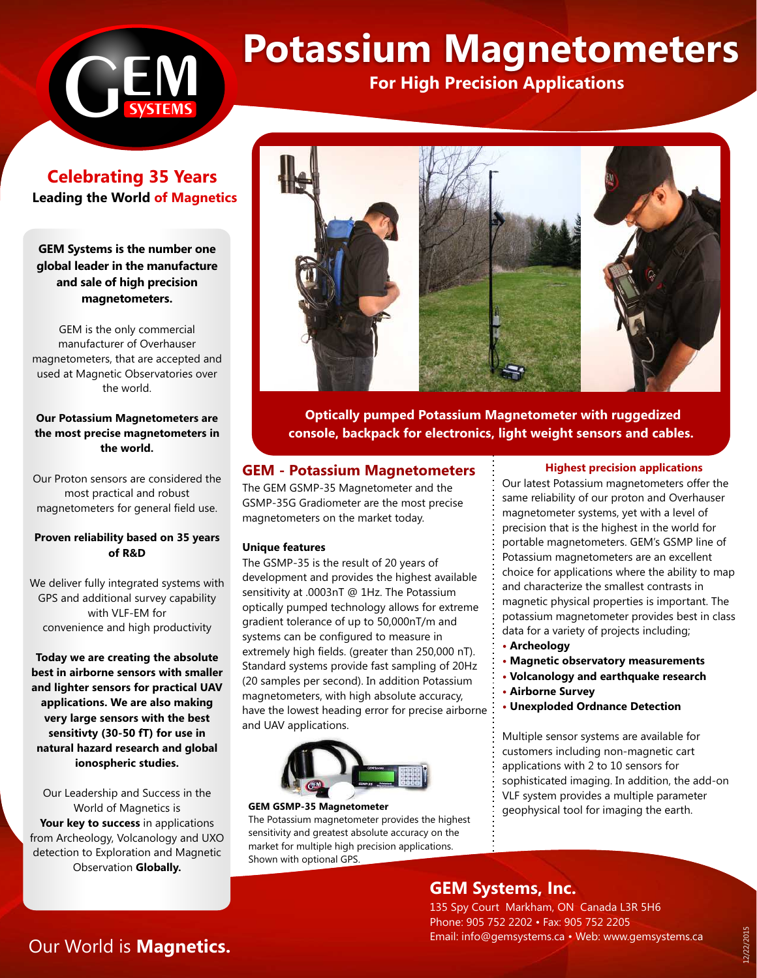# **h**<br>Systems

# **Potassium Magnetometers For High Precision Applications**

**Celebrating 35 Years Leading the World of Magnetics** 

**GEM Systems is the number one global leader in the manufacture and sale of high precision magnetometers.**

GEM is the only commercial manufacturer of Overhauser magnetometers, that are accepted and used at Magnetic Observatories over the world.

### **Our Potassium Magnetometers are the most precise magnetometers in the world.**

Our Proton sensors are considered the most practical and robust magnetometers for general field use.

### **Proven reliability based on 35 years of R&D**

We deliver fully integrated systems with GPS and additional survey capability with VLF-EM for convenience and high productivity

**Today we are creating the absolute best in airborne sensors with smaller and lighter sensors for practical UAV applications. We are also making very large sensors with the best sensitivty (30-50 fT) for use in natural hazard research and global ionospheric studies.** 

Our Leadership and Success in the World of Magnetics is **Your key to success** in applications from Archeology, Volcanology and UXO detection to Exploration and Magnetic Observation **Globally.**



**Optically pumped Potassium Magnetometer with ruggedized console, backpack for electronics, light weight sensors and cables.**

### **GEM - Potassium Magnetometers**

The GEM GSMP-35 Magnetometer and the GSMP-35G Gradiometer are the most precise magnetometers on the market today.

### **Unique features**

The GSMP-35 is the result of 20 years of development and provides the highest available sensitivity at .0003nT @ 1Hz. The Potassium optically pumped technology allows for extreme gradient tolerance of up to 50,000nT/m and systems can be configured to measure in extremely high fields. (greater than 250,000 nT). Standard systems provide fast sampling of 20Hz (20 samples per second). In addition Potassium magnetometers, with high absolute accuracy, have the lowest heading error for precise airborne and UAV applications.



### **GEM GSMP-35 Magnetometer**

The Potassium magnetometer provides the highest sensitivity and greatest absolute accuracy on the market for multiple high precision applications. Shown with optional GPS.

### **Highest precision applications**

Our latest Potassium magnetometers offer the same reliability of our proton and Overhauser magnetometer systems, yet with a level of precision that is the highest in the world for portable magnetometers. GEM's GSMP line of Potassium magnetometers are an excellent choice for applications where the ability to map and characterize the smallest contrasts in magnetic physical properties is important. The potassium magnetometer provides best in class data for a variety of projects including;

- **Archeology**
- **Magnetic observatory measurements**
- **Volcanology and earthquake research**
- **Airborne Survey**
- **Unexploded Ordnance Detection**

Multiple sensor systems are available for customers including non-magnetic cart applications with 2 to 10 sensors for sophisticated imaging. In addition, the add-on VLF system provides a multiple parameter geophysical tool for imaging the earth.

## **GEM Systems, Inc.**

135 Spy Court Markham, ON Canada L3R 5H6 Phone: 905 752 2202 • Fax: 905 752 2205 Email: info@gemsystems.ca • Web: www.gemsystems.ca

# Our World is **Magnetics.**